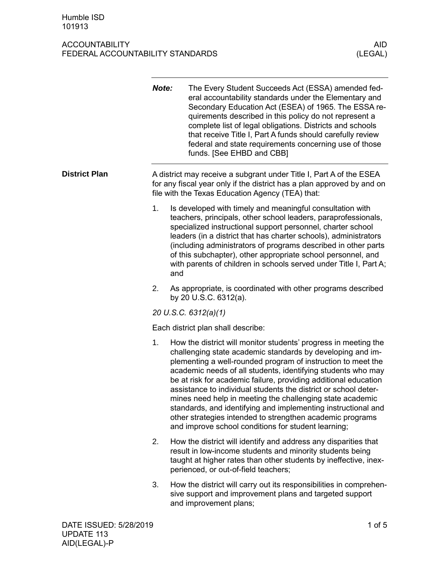# ACCOUNTABILITY<br>FEDERAL ACCOUNTABILITY STANDARDS (LEGAL) FEDERAL ACCOUNTABILITY STANDARDS

|                      | Note: | The Every Student Succeeds Act (ESSA) amended fed-<br>eral accountability standards under the Elementary and<br>Secondary Education Act (ESEA) of 1965. The ESSA re-<br>quirements described in this policy do not represent a<br>complete list of legal obligations. Districts and schools<br>that receive Title I, Part A funds should carefully review<br>federal and state requirements concerning use of those<br>funds. [See EHBD and CBB]                                                                                                                                                                                                      |
|----------------------|-------|-------------------------------------------------------------------------------------------------------------------------------------------------------------------------------------------------------------------------------------------------------------------------------------------------------------------------------------------------------------------------------------------------------------------------------------------------------------------------------------------------------------------------------------------------------------------------------------------------------------------------------------------------------|
| <b>District Plan</b> |       | A district may receive a subgrant under Title I, Part A of the ESEA<br>for any fiscal year only if the district has a plan approved by and on<br>file with the Texas Education Agency (TEA) that:                                                                                                                                                                                                                                                                                                                                                                                                                                                     |
|                      | 1.    | Is developed with timely and meaningful consultation with<br>teachers, principals, other school leaders, paraprofessionals,<br>specialized instructional support personnel, charter school<br>leaders (in a district that has charter schools), administrators<br>(including administrators of programs described in other parts<br>of this subchapter), other appropriate school personnel, and<br>with parents of children in schools served under Title I, Part A;<br>and                                                                                                                                                                          |
|                      | 2.    | As appropriate, is coordinated with other programs described<br>by 20 U.S.C. 6312(a).                                                                                                                                                                                                                                                                                                                                                                                                                                                                                                                                                                 |
|                      |       | 20 U.S.C. 6312(a)(1)                                                                                                                                                                                                                                                                                                                                                                                                                                                                                                                                                                                                                                  |
|                      |       | Each district plan shall describe:                                                                                                                                                                                                                                                                                                                                                                                                                                                                                                                                                                                                                    |
|                      | 1.    | How the district will monitor students' progress in meeting the<br>challenging state academic standards by developing and im-<br>plementing a well-rounded program of instruction to meet the<br>academic needs of all students, identifying students who may<br>be at risk for academic failure, providing additional education<br>assistance to individual students the district or school deter-<br>mines need help in meeting the challenging state academic<br>standards, and identifying and implementing instructional and<br>other strategies intended to strengthen academic programs<br>and improve school conditions for student learning; |
|                      | 2.    | How the district will identify and address any disparities that<br>result in low-income students and minority students being<br>taught at higher rates than other students by ineffective, inex-<br>perienced, or out-of-field teachers;                                                                                                                                                                                                                                                                                                                                                                                                              |
|                      | 3.    | How the district will carry out its responsibilities in comprehen-<br>sive support and improvement plans and targeted support<br>and improvement plans;                                                                                                                                                                                                                                                                                                                                                                                                                                                                                               |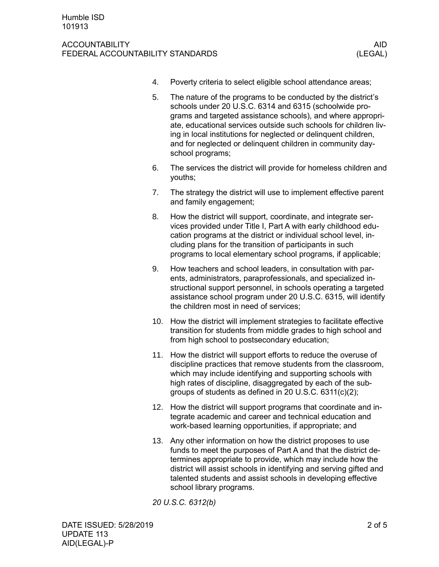#### ACCOUNTABILITY AID FEDERAL ACCOUNTABILITY STANDARDS (LEGAL)

- 4. Poverty criteria to select eligible school attendance areas;
- 5. The nature of the programs to be conducted by the district's schools under 20 U.S.C. 6314 and 6315 (schoolwide programs and targeted assistance schools), and where appropriate, educational services outside such schools for children living in local institutions for neglected or delinquent children, and for neglected or delinquent children in community dayschool programs;
- 6. The services the district will provide for homeless children and youths;
- 7. The strategy the district will use to implement effective parent and family engagement;
- 8. How the district will support, coordinate, and integrate services provided under Title I, Part A with early childhood education programs at the district or individual school level, including plans for the transition of participants in such programs to local elementary school programs, if applicable;
- 9. How teachers and school leaders, in consultation with parents, administrators, paraprofessionals, and specialized instructional support personnel, in schools operating a targeted assistance school program under 20 U.S.C. 6315, will identify the children most in need of services;
- 10. How the district will implement strategies to facilitate effective transition for students from middle grades to high school and from high school to postsecondary education;
- 11. How the district will support efforts to reduce the overuse of discipline practices that remove students from the classroom, which may include identifying and supporting schools with high rates of discipline, disaggregated by each of the subgroups of students as defined in 20 U.S.C. 6311(c)(2);
- 12. How the district will support programs that coordinate and integrate academic and career and technical education and work-based learning opportunities, if appropriate; and
- 13. Any other information on how the district proposes to use funds to meet the purposes of Part A and that the district determines appropriate to provide, which may include how the district will assist schools in identifying and serving gifted and talented students and assist schools in developing effective school library programs.

*20 U.S.C. 6312(b)*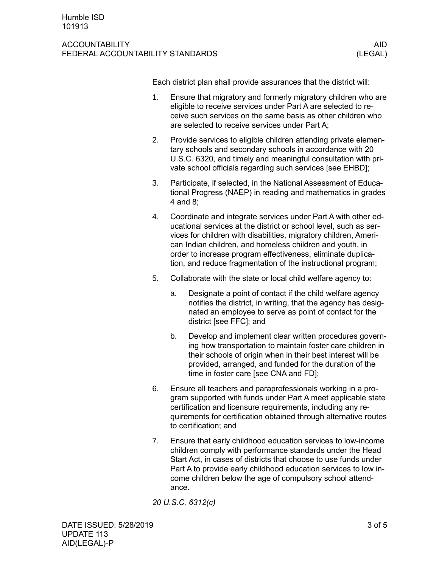#### ACCOUNTABILITY AID FEDERAL ACCOUNTABILITY STANDARDS (LEGAL)

Each district plan shall provide assurances that the district will:

- 1. Ensure that migratory and formerly migratory children who are eligible to receive services under Part A are selected to receive such services on the same basis as other children who are selected to receive services under Part A;
- 2. Provide services to eligible children attending private elementary schools and secondary schools in accordance with 20 U.S.C. 6320, and timely and meaningful consultation with private school officials regarding such services [see EHBD];
- 3. Participate, if selected, in the National Assessment of Educational Progress (NAEP) in reading and mathematics in grades 4 and 8;
- 4. Coordinate and integrate services under Part A with other educational services at the district or school level, such as services for children with disabilities, migratory children, American Indian children, and homeless children and youth, in order to increase program effectiveness, eliminate duplication, and reduce fragmentation of the instructional program;
- 5. Collaborate with the state or local child welfare agency to:
	- a. Designate a point of contact if the child welfare agency notifies the district, in writing, that the agency has designated an employee to serve as point of contact for the district [see FFC]; and
	- b. Develop and implement clear written procedures governing how transportation to maintain foster care children in their schools of origin when in their best interest will be provided, arranged, and funded for the duration of the time in foster care [see CNA and FD];
- 6. Ensure all teachers and paraprofessionals working in a program supported with funds under Part A meet applicable state certification and licensure requirements, including any requirements for certification obtained through alternative routes to certification; and
- 7. Ensure that early childhood education services to low-income children comply with performance standards under the Head Start Act, in cases of districts that choose to use funds under Part A to provide early childhood education services to low income children below the age of compulsory school attendance.

*20 U.S.C. 6312(c)*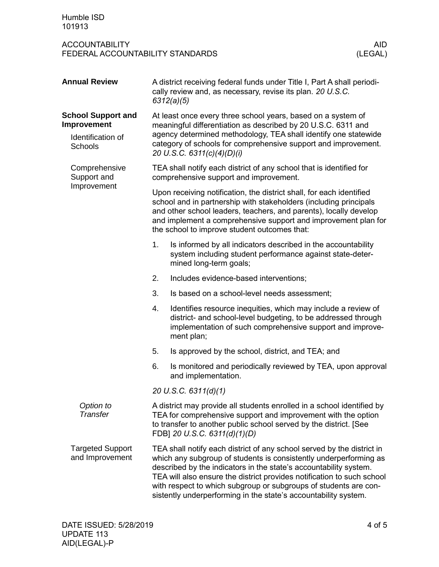### ACCOUNTABILITY<br>FEDERAL ACCOUNTABILITY STANDARDS (LEGAL) FEDERAL ACCOUNTABILITY STANDARDS

| <b>Annual Review</b>                        |    | A district receiving federal funds under Title I, Part A shall periodi-<br>cally review and, as necessary, revise its plan. 20 U.S.C.<br>6312(a)(5)                                                                                                                                                                                                                                                                               |  |  |  |
|---------------------------------------------|----|-----------------------------------------------------------------------------------------------------------------------------------------------------------------------------------------------------------------------------------------------------------------------------------------------------------------------------------------------------------------------------------------------------------------------------------|--|--|--|
| <b>School Support and</b><br>Improvement    |    | At least once every three school years, based on a system of<br>meaningful differentiation as described by 20 U.S.C. 6311 and                                                                                                                                                                                                                                                                                                     |  |  |  |
| Identification of<br>Schools                |    | agency determined methodology, TEA shall identify one statewide<br>category of schools for comprehensive support and improvement.<br>20 U.S.C. 6311(c)(4)(D)(i)                                                                                                                                                                                                                                                                   |  |  |  |
| Comprehensive<br>Support and<br>Improvement |    | TEA shall notify each district of any school that is identified for<br>comprehensive support and improvement.                                                                                                                                                                                                                                                                                                                     |  |  |  |
|                                             |    | Upon receiving notification, the district shall, for each identified<br>school and in partnership with stakeholders (including principals<br>and other school leaders, teachers, and parents), locally develop<br>and implement a comprehensive support and improvement plan for<br>the school to improve student outcomes that:                                                                                                  |  |  |  |
|                                             | 1. | Is informed by all indicators described in the accountability<br>system including student performance against state-deter-<br>mined long-term goals;                                                                                                                                                                                                                                                                              |  |  |  |
|                                             | 2. | Includes evidence-based interventions;                                                                                                                                                                                                                                                                                                                                                                                            |  |  |  |
|                                             | 3. | Is based on a school-level needs assessment;                                                                                                                                                                                                                                                                                                                                                                                      |  |  |  |
|                                             | 4. | Identifies resource inequities, which may include a review of<br>district- and school-level budgeting, to be addressed through<br>implementation of such comprehensive support and improve-<br>ment plan;                                                                                                                                                                                                                         |  |  |  |
|                                             | 5. | Is approved by the school, district, and TEA; and                                                                                                                                                                                                                                                                                                                                                                                 |  |  |  |
|                                             | 6. | Is monitored and periodically reviewed by TEA, upon approval<br>and implementation.                                                                                                                                                                                                                                                                                                                                               |  |  |  |
|                                             |    | 20 U.S.C. 6311(d)(1)                                                                                                                                                                                                                                                                                                                                                                                                              |  |  |  |
| Option to<br>Transfer                       |    | A district may provide all students enrolled in a school identified by<br>TEA for comprehensive support and improvement with the option<br>to transfer to another public school served by the district. [See<br>FDB] 20 U.S.C. 6311(d)(1)(D)                                                                                                                                                                                      |  |  |  |
| <b>Targeted Support</b><br>and Improvement  |    | TEA shall notify each district of any school served by the district in<br>which any subgroup of students is consistently underperforming as<br>described by the indicators in the state's accountability system.<br>TEA will also ensure the district provides notification to such school<br>with respect to which subgroup or subgroups of students are con-<br>sistently underperforming in the state's accountability system. |  |  |  |